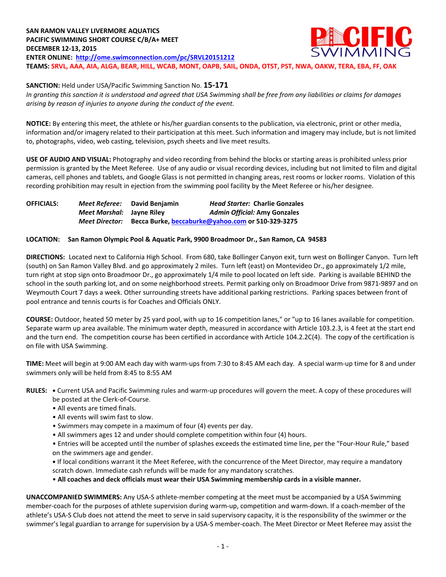**SANCTION:** Held under USA/Pacific Swimming Sanction No. **15-171**

*In granting this sanction it is understood and agreed that USA Swimming shall be free from any liabilities or claims for damages arising by reason of injuries to anyone during the conduct of the event.*

**NOTICE:** By entering this meet, the athlete or his/her guardian consents to the publication, via electronic, print or other media, information and/or imagery related to their participation at this meet. Such information and imagery may include, but is not limited to, photographs, video, web casting, television, psych sheets and live meet results.

**USE OF AUDIO AND VISUAL:** Photography and video recording from behind the blocks or starting areas is prohibited unless prior permission is granted by the Meet Referee. Use of any audio or visual recording devices, including but not limited to film and digital cameras, cell phones and tablets, and Google Glass is not permitted in changing areas, rest rooms or locker rooms. Violation of this recording prohibition may result in ejection from the swimming pool facility by the Meet Referee or his/her designee.

**OFFICIALS:** *Meet Referee:* **David Benjamin** *Head Starter:* **Charlie Gonzales** *Meet Marshal:* **Jayne Riley** *Admin Official:* **Amy Gonzales** *Meet Director:* **Becca Burke, [beccaburke@yahoo.com](mailto:beccaburke@yahoo.com) or 510-329-3275**

#### **LOCATION: San Ramon Olympic Pool & Aquatic Park, 9900 Broadmoor Dr., San Ramon, CA 94583**

**DIRECTIONS:** Located next to California High School. From 680, take Bollinger Canyon exit, turn west on Bollinger Canyon. Turn left (south) on San Ramon Valley Blvd. and go approximately 2 miles. Turn left (east) on Montevideo Dr., go approximately 1/2 mile, turn right at stop sign onto Broadmoor Dr., go approximately 1/4 mile to pool located on left side. Parking is available BEHIND the school in the south parking lot, and on some neighborhood streets. Permit parking only on Broadmoor Drive from 9871-9897 and on Weymouth Court 7 days a week. Other surrounding streets have additional parking restrictions. Parking spaces between front of pool entrance and tennis courts is for Coaches and Officials ONLY.

**COURSE:** Outdoor, heated 50 meter by 25 yard pool, with up to 16 competition lanes," or "up to 16 lanes available for competition. Separate warm up area available. The minimum water depth, measured in accordance with Article 103.2.3, is 4 feet at the start end and the turn end. The competition course has been certified in accordance with Article 104.2.2C(4). The copy of the certification is on file with USA Swimming.

**TIME:** Meet will begin at 9:00 AM each day with warm-ups from 7:30 to 8:45 AM each day. A special warm-up time for 8 and under swimmers only will be held from 8:45 to 8:55 AM

- **RULES: •** Current USA and Pacific Swimming rules and warm-up procedures will govern the meet. A copy of these procedures will be posted at the Clerk-of-Course.
	- All events are timed finals.
	- All events will swim fast to slow.
	- Swimmers may compete in a maximum of four (4) events per day.
	- All swimmers ages 12 and under should complete competition within four (4) hours.

• Entries will be accepted until the number of splashes exceeds the estimated time line, per the "Four-Hour Rule," based on the swimmers age and gender.

**•** If local conditions warrant it the Meet Referee, with the concurrence of the Meet Director, may require a mandatory scratch down. Immediate cash refunds will be made for any mandatory scratches.

• **All coaches and deck officials must wear their USA Swimming membership cards in a visible manner.** 

**UNACCOMPANIED SWIMMERS:** Any USA-S athlete-member competing at the meet must be accompanied by a USA Swimming member-coach for the purposes of athlete supervision during warm-up, competition and warm-down. If a coach-member of the athlete's USA-S Club does not attend the meet to serve in said supervisory capacity, it is the responsibility of the swimmer or the swimmer's legal guardian to arrange for supervision by a USA-S member-coach. The Meet Director or Meet Referee may assist the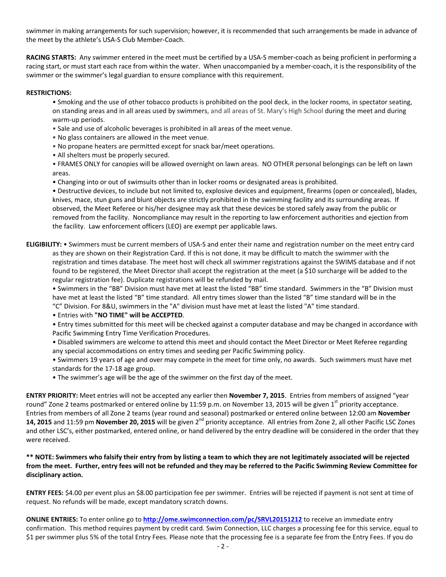swimmer in making arrangements for such supervision; however, it is recommended that such arrangements be made in advance of the meet by the athlete's USA-S Club Member-Coach.

**RACING STARTS:** Any swimmer entered in the meet must be certified by a USA-S member-coach as being proficient in performing a racing start, or must start each race from within the water. When unaccompanied by a member-coach, it is the responsibility of the swimmer or the swimmer's legal guardian to ensure compliance with this requirement.

#### **RESTRICTIONS:**

• Smoking and the use of other tobacco products is prohibited on the pool deck, in the locker rooms, in spectator seating, on standing areas and in all areas used by swimmers, and all areas of St. Mary's High School during the meet and during warm-up periods.

- Sale and use of alcoholic beverages is prohibited in all areas of the meet venue.
- No glass containers are allowed in the meet venue.
- No propane heaters are permitted except for snack bar/meet operations.
- All shelters must be properly secured.

• FRAMES ONLY for canopies will be allowed overnight on lawn areas. NO OTHER personal belongings can be left on lawn areas.

• Changing into or out of swimsuits other than in locker rooms or designated areas is prohibited.

• Destructive devices, to include but not limited to, explosive devices and equipment, firearms (open or concealed), blades, knives, mace, stun guns and blunt objects are strictly prohibited in the swimming facility and its surrounding areas. If observed, the Meet Referee or his/her designee may ask that these devices be stored safely away from the public or removed from the facility. Noncompliance may result in the reporting to law enforcement authorities and ejection from the facility. Law enforcement officers (LEO) are exempt per applicable laws.

## **ELIGIBILITY:** • Swimmers must be current members of USA-S and enter their name and registration number on the meet entry card as they are shown on their Registration Card. If this is not done, it may be difficult to match the swimmer with the registration and times database. The meet host will check all swimmer registrations against the SWIMS database and if not found to be registered, the Meet Director shall accept the registration at the meet (a \$10 surcharge will be added to the regular registration fee). Duplicate registrations will be refunded by mail.

• Swimmers in the "BB" Division must have met at least the listed "BB" time standard. Swimmers in the "B" Division must have met at least the listed "B" time standard. All entry times slower than the listed "B" time standard will be in the "C" Division. For 8&U, swimmers in the "A" division must have met at least the listed "A" time standard.

• Entries with **"NO TIME" will be ACCEPTED**.

• Entry times submitted for this meet will be checked against a computer database and may be changed in accordance with Pacific Swimming Entry Time Verification Procedures.

• Disabled swimmers are welcome to attend this meet and should contact the Meet Director or Meet Referee regarding any special accommodations on entry times and seeding per Pacific Swimming policy.

• Swimmers 19 years of age and over may compete in the meet for time only, no awards. Such swimmers must have met standards for the 17-18 age group.

• The swimmer's age will be the age of the swimmer on the first day of the meet.

**ENTRY PRIORITY:** Meet entries will not be accepted any earlier then **November 7, 2015**. Entries from members of assigned "year round" Zone 2 teams postmarked or entered online by 11:59 p.m. on November 13, 2015 will be given 1<sup>st</sup> priority acceptance. Entries from members of all Zone 2 teams (year round and seasonal) postmarked or entered online between 12:00 am **November 14, 2015** and 11:59 pm **November 20, 2015** will be given 2<sup>nd</sup> priority acceptance. All entries from Zone 2, all other Pacific LSC Zones and other LSC's, either postmarked, entered online, or hand delivered by the entry deadline will be considered in the order that they were received.

## **\*\* NOTE: Swimmers who falsify their entry from by listing a team to which they are not legitimately associated will be rejected from the meet. Further, entry fees will not be refunded and they may be referred to the Pacific Swimming Review Committee for disciplinary action.**

**ENTRY FEES:** \$4.00 per event plus an \$8.00 participation fee per swimmer. Entries will be rejected if payment is not sent at time of request. No refunds will be made, except mandatory scratch downs.

**ONLINE ENTRIES:** To enter online go to **<http://ome.swimconnection.com/pc/SRVL20151212>** to receive an immediate entry confirmation. This method requires payment by credit card. Swim Connection, LLC charges a processing fee for this service, equal to \$1 per swimmer plus 5% of the total Entry Fees. Please note that the processing fee is a separate fee from the Entry Fees. If you do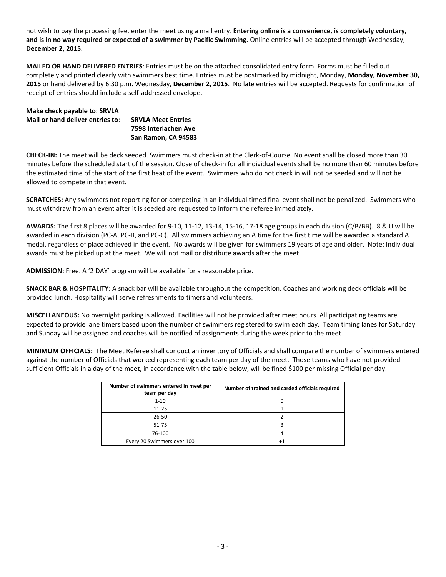not wish to pay the processing fee, enter the meet using a mail entry. **Entering online is a convenience, is completely voluntary, and is in no way required or expected of a swimmer by Pacific Swimming.** Online entries will be accepted through Wednesday, **December 2, 2015**.

**MAILED OR HAND DELIVERED ENTRIES**: Entries must be on the attached consolidated entry form. Forms must be filled out completely and printed clearly with swimmers best time. Entries must be postmarked by midnight, Monday, **Monday, November 30, 2015** or hand delivered by 6:30 p.m. Wednesday, **December 2, 2015**. No late entries will be accepted. Requests for confirmation of receipt of entries should include a self-addressed envelope.

| Make check payable to: SRVLA     |                           |
|----------------------------------|---------------------------|
| Mail or hand deliver entries to: | <b>SRVLA Meet Entries</b> |
|                                  | 7598 Interlachen Ave      |
|                                  | San Ramon, CA 94583       |

**CHECK-IN:** The meet will be deck seeded. Swimmers must check-in at the Clerk-of-Course. No event shall be closed more than 30 minutes before the scheduled start of the session. Close of check-in for all individual events shall be no more than 60 minutes before the estimated time of the start of the first heat of the event. Swimmers who do not check in will not be seeded and will not be allowed to compete in that event.

**SCRATCHES:** Any swimmers not reporting for or competing in an individual timed final event shall not be penalized. Swimmers who must withdraw from an event after it is seeded are requested to inform the referee immediately.

**AWARDS:** The first 8 places will be awarded for 9-10, 11-12, 13-14, 15-16, 17-18 age groups in each division (C/B/BB). 8 & U will be awarded in each division (PC-A, PC-B, and PC-C). All swimmers achieving an A time for the first time will be awarded a standard A medal, regardless of place achieved in the event. No awards will be given for swimmers 19 years of age and older. Note: Individual awards must be picked up at the meet. We will not mail or distribute awards after the meet.

**ADMISSION:** Free. A '2 DAY' program will be available for a reasonable price.

**SNACK BAR & HOSPITALITY:** A snack bar will be available throughout the competition. Coaches and working deck officials will be provided lunch. Hospitality will serve refreshments to timers and volunteers.

**MISCELLANEOUS:** No overnight parking is allowed. Facilities will not be provided after meet hours. All participating teams are expected to provide lane timers based upon the number of swimmers registered to swim each day. Team timing lanes for Saturday and Sunday will be assigned and coaches will be notified of assignments during the week prior to the meet.

**MINIMUM OFFICIALS:** The Meet Referee shall conduct an inventory of Officials and shall compare the number of swimmers entered against the number of Officials that worked representing each team per day of the meet. Those teams who have not provided sufficient Officials in a day of the meet, in accordance with the table below, will be fined \$100 per missing Official per day.

| Number of swimmers entered in meet per<br>team per day | Number of trained and carded officials required |
|--------------------------------------------------------|-------------------------------------------------|
| $1 - 10$                                               |                                                 |
| $11 - 25$                                              |                                                 |
| $26 - 50$                                              |                                                 |
| $51 - 75$                                              |                                                 |
| 76-100                                                 |                                                 |
| Every 20 Swimmers over 100                             |                                                 |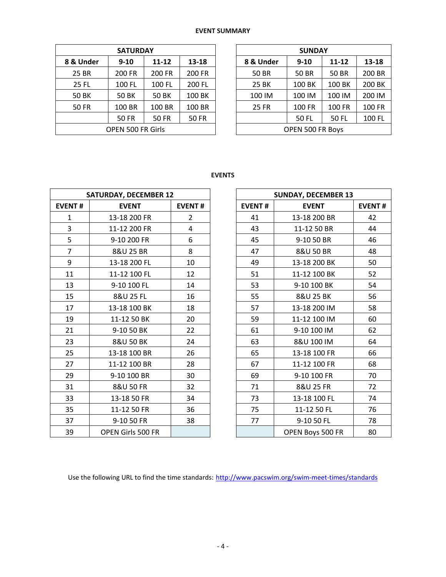# **EVENT SUMMARY**

| <b>SATURDAY</b>   |              |              |        |  |  |  |  |  |
|-------------------|--------------|--------------|--------|--|--|--|--|--|
| 8 & Under         | $9 - 10$     | $11 - 12$    | 13-18  |  |  |  |  |  |
| 25 BR             | 200 FR       | 200 FR       | 200 FR |  |  |  |  |  |
| 25 FL             | 100 FL       | 100 FL       | 200 FL |  |  |  |  |  |
| 50 BK             | <b>50 BK</b> | <b>50 BK</b> | 100 BK |  |  |  |  |  |
| 50 FR             | 100 BR       | 100 BR       | 100 BR |  |  |  |  |  |
|                   | <b>50 FR</b> | <b>50 FR</b> | 50 FR  |  |  |  |  |  |
| OPEN 500 FR Girls |              |              |        |  |  |  |  |  |

| <b>SUNDAY</b>    |               |               |        |  |  |  |  |  |
|------------------|---------------|---------------|--------|--|--|--|--|--|
| 8 & Under        | $9 - 10$      | 11-12         | 13-18  |  |  |  |  |  |
| <b>50 BR</b>     | <b>50 BR</b>  | <b>50 BR</b>  | 200 BR |  |  |  |  |  |
| 25 BK            | 100 BK        | 100 BK        | 200 BK |  |  |  |  |  |
| 100 IM           | 100 IM        | 100 IM        | 200 IM |  |  |  |  |  |
| <b>25 FR</b>     | <b>100 FR</b> | <b>100 FR</b> | 100 FR |  |  |  |  |  |
|                  | <b>50 FL</b>  | 50 FL         | 100 FL |  |  |  |  |  |
| OPEN 500 FR Boys |               |               |        |  |  |  |  |  |

**EVENTS**

| <b>SATURDAY, DECEMBER 12</b> |                          |               |  |  |  |  |  |  |
|------------------------------|--------------------------|---------------|--|--|--|--|--|--|
| <b>EVENT#</b>                | <b>EVENT</b>             | <b>EVENT#</b> |  |  |  |  |  |  |
| 1                            | 13-18 200 FR             | 2             |  |  |  |  |  |  |
| 3                            | 11-12 200 FR<br>4        |               |  |  |  |  |  |  |
| 5                            | 9-10 200 FR              | 6             |  |  |  |  |  |  |
| 7                            | 8&U 25 BR                | 8             |  |  |  |  |  |  |
| 9                            | 13-18 200 FL             | 10            |  |  |  |  |  |  |
| 11                           | 11-12 100 FL             | 12            |  |  |  |  |  |  |
| 13                           | 9-10 100 FL              | 14            |  |  |  |  |  |  |
| 15                           | 8&U 25 FL                | 16            |  |  |  |  |  |  |
| 17                           | 13-18 100 BK             | 18            |  |  |  |  |  |  |
| 19                           | 11-12 50 BK              | 20            |  |  |  |  |  |  |
| 21                           | 9-10 50 BK               | 22            |  |  |  |  |  |  |
| 23                           | 8&U 50 BK                | 24            |  |  |  |  |  |  |
| 25                           | 13-18 100 BR             | 26            |  |  |  |  |  |  |
| 27                           | 11-12 100 BR             | 28            |  |  |  |  |  |  |
| 29                           | 9-10 100 BR              | 30            |  |  |  |  |  |  |
| 31                           | 8&U 50 FR                | 32            |  |  |  |  |  |  |
| 33                           | 13-18 50 FR              | 34            |  |  |  |  |  |  |
| 35                           | 11-12 50 FR              | 36            |  |  |  |  |  |  |
| 37                           | 9-10 50 FR               | 38            |  |  |  |  |  |  |
| 39                           | <b>OPEN Girls 500 FR</b> |               |  |  |  |  |  |  |

| <b>SUNDAY, DECEMBER 13</b> |                  |               |  |  |  |  |  |
|----------------------------|------------------|---------------|--|--|--|--|--|
| <b>EVENT#</b>              | <b>EVENT</b>     | <b>EVENT#</b> |  |  |  |  |  |
| 41                         | 13-18 200 BR     | 42            |  |  |  |  |  |
| 43                         | 11-12 50 BR      | 44            |  |  |  |  |  |
| 45                         | 9-10 50 BR       | 46            |  |  |  |  |  |
| 47                         | 8&U 50 BR        | 48            |  |  |  |  |  |
| 49                         | 13-18 200 BK     | 50            |  |  |  |  |  |
| 51                         | 11-12 100 BK     | 52            |  |  |  |  |  |
| 53                         | 9-10 100 BK      | 54            |  |  |  |  |  |
| 55                         | 8&U 25 BK        | 56            |  |  |  |  |  |
| 57                         | 13-18 200 IM     | 58            |  |  |  |  |  |
| 59                         | 11-12 100 IM     | 60            |  |  |  |  |  |
| 61                         | 9-10 100 IM      | 62            |  |  |  |  |  |
| 63                         | 8&U 100 IM       | 64            |  |  |  |  |  |
| 65                         | 13-18 100 FR     | 66            |  |  |  |  |  |
| 67                         | 11-12 100 FR     | 68            |  |  |  |  |  |
| 69                         | 9-10 100 FR      | 70            |  |  |  |  |  |
| 71                         | 8&U 25 FR        | 72            |  |  |  |  |  |
| 73                         | 13-18 100 FL     | 74            |  |  |  |  |  |
| 75                         | 11-12 50 FL      | 76            |  |  |  |  |  |
| 77                         | 9-10 50 FL       | 78            |  |  |  |  |  |
|                            | OPEN Boys 500 FR | 80            |  |  |  |  |  |

Use the following URL to find the time standards: <http://www.pacswim.org/swim-meet-times/standards>